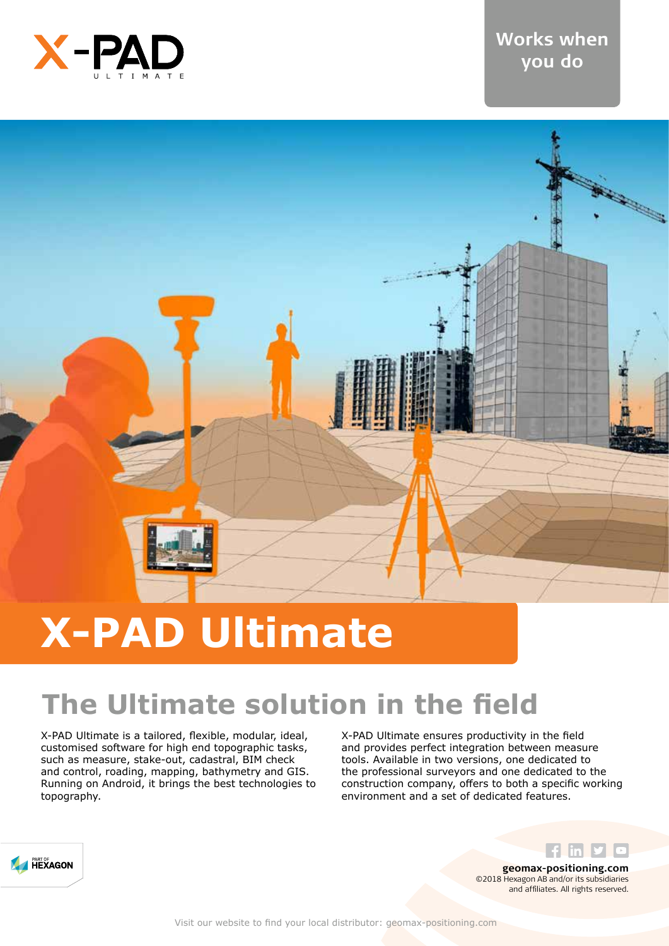

### **Works when you do**



# **X-PAD Ultimate**

### **The Ultimate solution in the field**

X-PAD Ultimate is a tailored, flexible, modular, ideal, customised software for high end topographic tasks, such as measure, stake-out, cadastral, BIM check and control, roading, mapping, bathymetry and GIS. Running on Android, it brings the best technologies to topography.

X-PAD Ultimate ensures productivity in the field and provides perfect integration between measure tools. Available in two versions, one dedicated to the professional surveyors and one dedicated to the construction company, offers to both a specific working environment and a set of dedicated features.



**geomax-positioning.com** ©2018 Hexagon AB and/or its subsidiaries and affiliates. All rights reserved.

 $f$  lin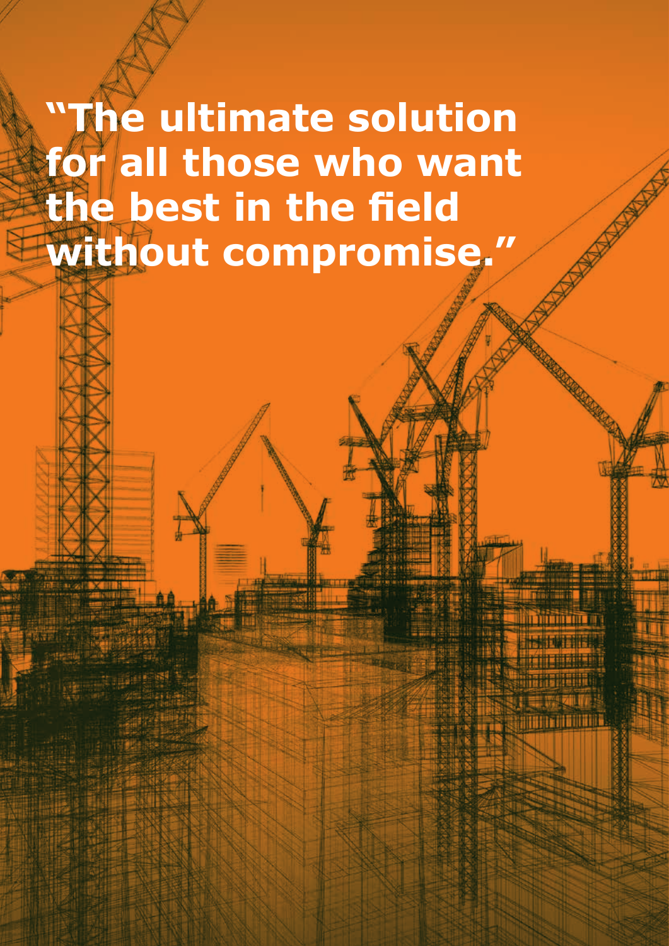# **"The ultimate solution for all those who want the best in the field without compromise."**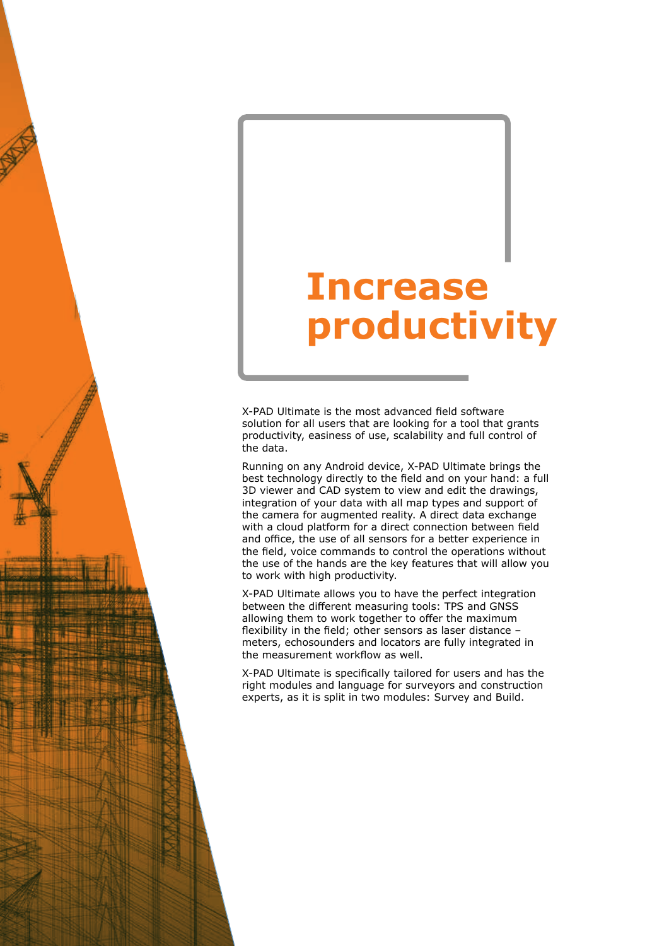# **Increase productivity**

X-PAD Ultimate is the most advanced field software solution for all users that are looking for a tool that grants productivity, easiness of use, scalability and full control of the data.

Running on any Android device, X-PAD Ultimate brings the best technology directly to the field and on your hand: a full 3D viewer and CAD system to view and edit the drawings, integration of your data with all map types and support of the camera for augmented reality. A direct data exchange with a cloud platform for a direct connection between field and office, the use of all sensors for a better experience in the field, voice commands to control the operations without the use of the hands are the key features that will allow you to work with high productivity.

X-PAD Ultimate allows you to have the perfect integration between the different measuring tools: TPS and GNSS allowing them to work together to offer the maximum flexibility in the field; other sensors as laser distance – meters, echosounders and locators are fully integrated in the measurement workflow as well.

X-PAD Ultimate is specifically tailored for users and has the right modules and language for surveyors and construction experts, as it is split in two modules: Survey and Build.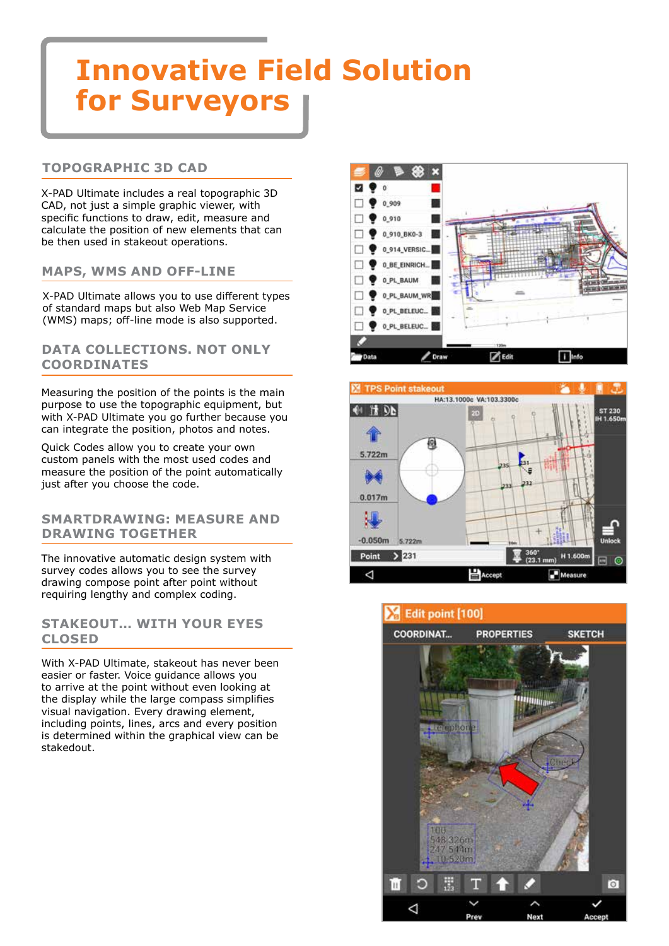## **Innovative Field Solution for Surveyors**

#### **TOPOGRAPHIC 3D CAD**

X-PAD Ultimate includes a real topographic 3D CAD, not just a simple graphic viewer, with specific functions to draw, edit, measure and calculate the position of new elements that can be then used in stakeout operations.

#### **MAPS, WMS AND OFF-LINE**

X-PAD Ultimate allows you to use different types of standard maps but also Web Map Service (WMS) maps; off-line mode is also supported.

#### **DATA COLLECTIONS. NOT ONLY COORDINATES**

Measuring the position of the points is the main purpose to use the topographic equipment, but with X-PAD Ultimate you go further because you can integrate the position, photos and notes.

Quick Codes allow you to create your own custom panels with the most used codes and measure the position of the point automatically just after you choose the code.

#### **SMARTDRAWING: MEASURE AND DRAWING TOGETHER**

The innovative automatic design system with survey codes allows you to see the survey drawing compose point after point without requiring lengthy and complex coding.

#### **STAKEOUT... WITH YOUR EYES CLOSED**

With X-PAD Ultimate, stakeout has never been easier or faster. Voice guidance allows you to arrive at the point without even looking at the display while the large compass simplifies visual navigation. Every drawing element, including points, lines, arcs and every position is determined within the graphical view can be stakedout.





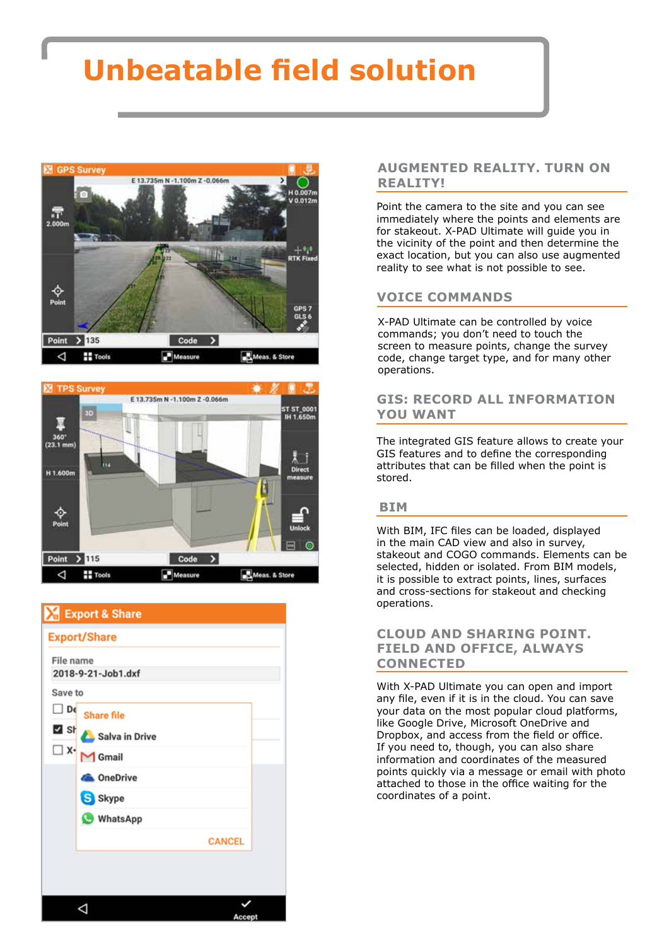## **Unbeatable field solution**





|                                 | Export & Share    |               |  |  |
|---------------------------------|-------------------|---------------|--|--|
| <b>Export/Share</b>             |                   |               |  |  |
| File name<br>2018-9-21-Job1.dxf |                   |               |  |  |
| Save to                         |                   |               |  |  |
| D€                              | <b>Share file</b> |               |  |  |
| M sŀ                            | Salva in Drive    |               |  |  |
| $\Box$ X-                       | $M$ Gmail         |               |  |  |
|                                 | <b>A</b> OneDrive |               |  |  |
|                                 | S Skype           |               |  |  |
|                                 | <b>WhatsApp</b>   |               |  |  |
|                                 |                   | <b>CANCEL</b> |  |  |
|                                 |                   |               |  |  |
|                                 |                   |               |  |  |
|                                 |                   |               |  |  |
|                                 |                   | Accept        |  |  |

#### **AUGMENTED REALITY. TURN ON REALITY!**

Point the camera to the site and you can see immediately where the points and elements are for stakeout. X-PAD Ultimate will guide you in the vicinity of the point and then determine the exact location, but you can also use augmented reality to see what is not possible to see.

#### **VOICE COMMANDS**

X-PAD Ultimate can be controlled by voice commands; you don't need to touch the screen to measure points, change the survey code, change target type, and for many other operations.

#### **GIS: RECORD ALL INFORMATION YOU WANT**

The integrated GIS feature allows to create your GIS features and to define the corresponding attributes that can be filled when the point is stored.

#### **BIM**

With BIM, IFC files can be loaded, displayed in the main CAD view and also in survey, stakeout and COGO commands. Elements can be selected, hidden or isolated. From BIM models, it is possible to extract points, lines, surfaces and cross-sections for stakeout and checking operations.

#### **CLOUD AND SHARING POINT. FIELD AND OFFICE, ALWAYS CONNECTED**

With X-PAD Ultimate you can open and import any file, even if it is in the cloud. You can save your data on the most popular cloud platforms, like Google Drive, Microsoft OneDrive and Dropbox, and access from the field or office. If you need to, though, you can also share information and coordinates of the measured points quickly via a message or email with photo attached to those in the office waiting for the coordinates of a point.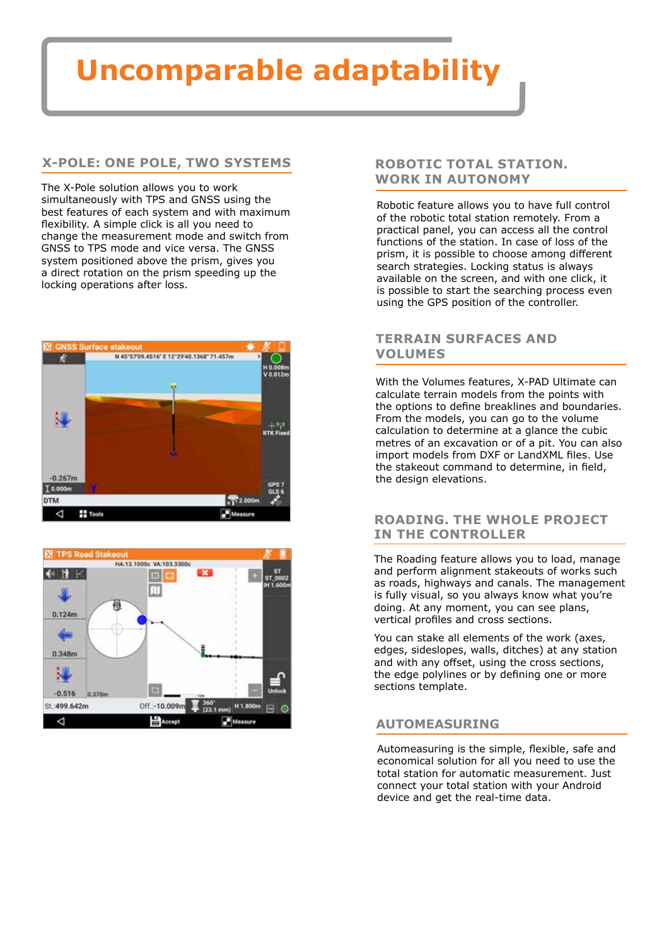## **Uncomparable adaptability**

#### **X-POLE: ONE POLE, TWO SYSTEMS**

The X-Pole solution allows you to work simultaneously with TPS and GNSS using the best features of each system and with maximum flexibility. A simple click is all you need to change the measurement mode and switch from GNSS to TPS mode and vice versa. The GNSS system positioned above the prism, gives you a direct rotation on the prism speeding up the locking operations after loss.





#### **ROBOTIC TOTAL STATION. WORK IN AUTONOMY**

Robotic feature allows you to have full control of the robotic total station remotely. From a practical panel, you can access all the control functions of the station. In case of loss of the prism, it is possible to choose among different search strategies. Locking status is always available on the screen, and with one click, it is possible to start the searching process even using the GPS position of the controller.

#### **TERRAIN SURFACES AND VOLUMES**

With the Volumes features, X-PAD Ultimate can calculate terrain models from the points with the options to define breaklines and boundaries. From the models, you can go to the volume calculation to determine at a glance the cubic metres of an excavation or of a pit. You can also import models from DXF or LandXML files. Use the stakeout command to determine, in field, the design elevations.

#### **ROADING. THE WHOLE PROJECT IN THE CONTROLLER**

The Roading feature allows you to load, manage and perform alignment stakeouts of works such as roads, highways and canals. The management is fully visual, so you always know what you're doing. At any moment, you can see plans, vertical profiles and cross sections.

You can stake all elements of the work (axes, edges, sideslopes, walls, ditches) at any station and with any offset, using the cross sections, the edge polylines or by defining one or more sections template.

#### **AUTOMEASURING**

Automeasuring is the simple, flexible, safe and economical solution for all you need to use the total station for automatic measurement. Just connect your total station with your Android device and get the real-time data.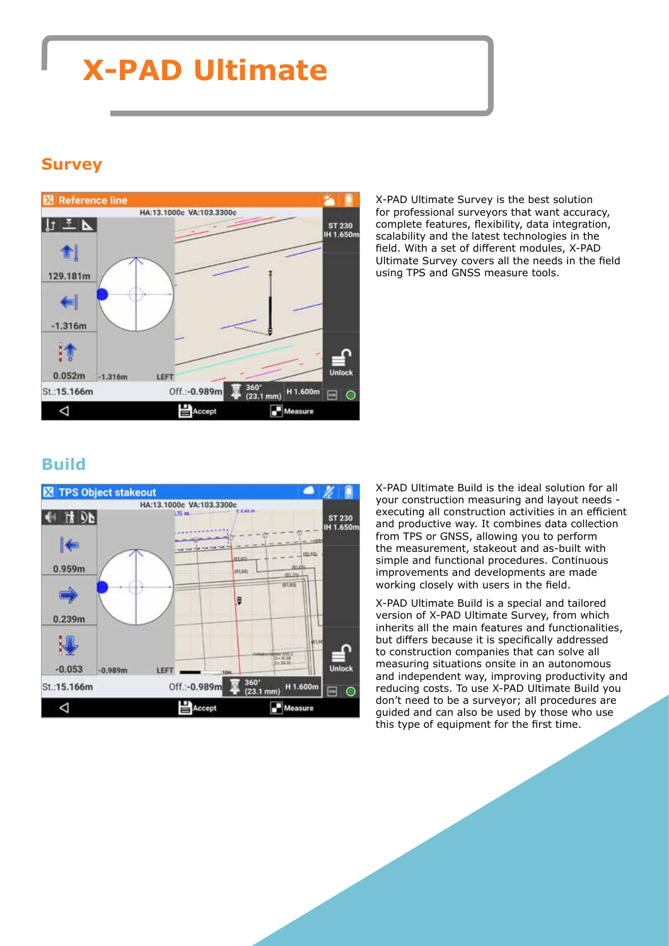### **X-PAD Ultimate**

### **Survey**



X-PAD Ultimate Survey is the best solution for professional surveyors that want accuracy, complete features, flexibility, data integration, scalability and the latest technologies in the field. With a set of different modules, X-PAD Ultimate Survey covers all the needs in the field using TPS and GNSS measure tools.

### **Build**



X-PAD Ultimate Build is the ideal solution for all your construction measuring and layout needs executing all construction activities in an efficient and productive way. It combines data collection from TPS or GNSS, allowing you to perform the measurement, stakeout and as-built with simple and functional procedures. Continuous improvements and developments are made working closely with users in the field.

X-PAD Ultimate Build is a special and tailored version of X-PAD Ultimate Survey, from which inherits all the main features and functionalities, but differs because it is specifically addressed to construction companies that can solve all measuring situations onsite in an autonomous and independent way, improving productivity and reducing costs. To use X-PAD Ultimate Build you don't need to be a surveyor; all procedures are guided and can also be used by those who use this type of equipment for the first time.